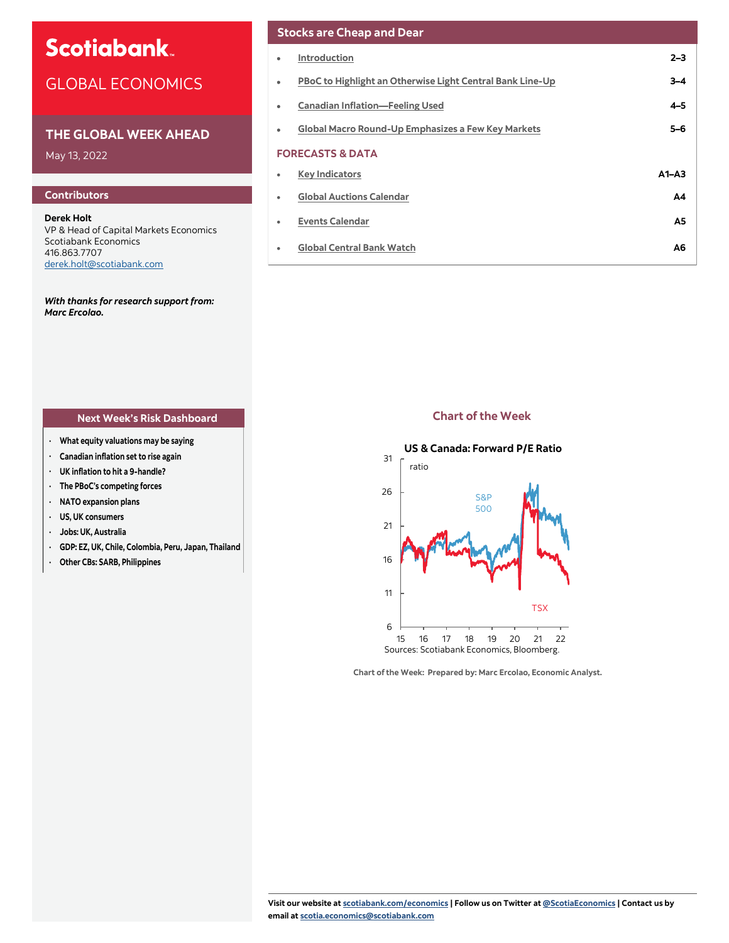# **Scotiabank**

# GLOBAL ECONOMICS

# **THE GLOBAL WEEK AHEAD**

May 13, 2022

# **Contributors**

**Derek Holt** VP & Head of Capital Markets Economics Scotiabank Economics 416.863.7707 [derek.holt@scotiabank.com](mailto:derek.holt@scotiabank.com)

*With thanks for research support from: Marc Ercolao.* 

# **Next Week's Risk Dashboard Chart of the Week**

- **· What equity valuations may be saying**
- **· Canadian inflation set to rise again**
- **· UK inflation to hit a 9-handle?**
- **· The PBoC's competing forces**
- **· NATO expansion plans**
- **· US, UK consumers**
- **· Jobs: UK, Australia**
- **· GDP: EZ, UK, Chile, Colombia, Peru, Japan, Thailand**
- **· Other CBs: SARB, Philippines**

# **Stocks are Cheap and Dear**

|   | Stocks are critap and Bear                                |           |
|---|-----------------------------------------------------------|-----------|
| ۰ | Introduction                                              | $2 - 3$   |
| ۰ | PBoC to Highlight an Otherwise Light Central Bank Line-Up | $3 - 4$   |
| ۰ | <b>Canadian Inflation-Feeling Used</b>                    | $4 - 5$   |
| ٠ | <b>Global Macro Round-Up Emphasizes a Few Key Markets</b> | $5 - 6$   |
|   | <b>FORECASTS &amp; DATA</b>                               |           |
| ٠ | <b>Key Indicators</b>                                     | $A1 - A3$ |
| ٠ | <b>Global Auctions Calendar</b>                           | Α4        |
| ٠ | <b>Events Calendar</b>                                    | A5        |
| ٠ | <b>Global Central Bank Watch</b>                          | А6        |
|   |                                                           |           |



**Chart of the Week: Prepared by: Marc Ercolao, Economic Analyst.**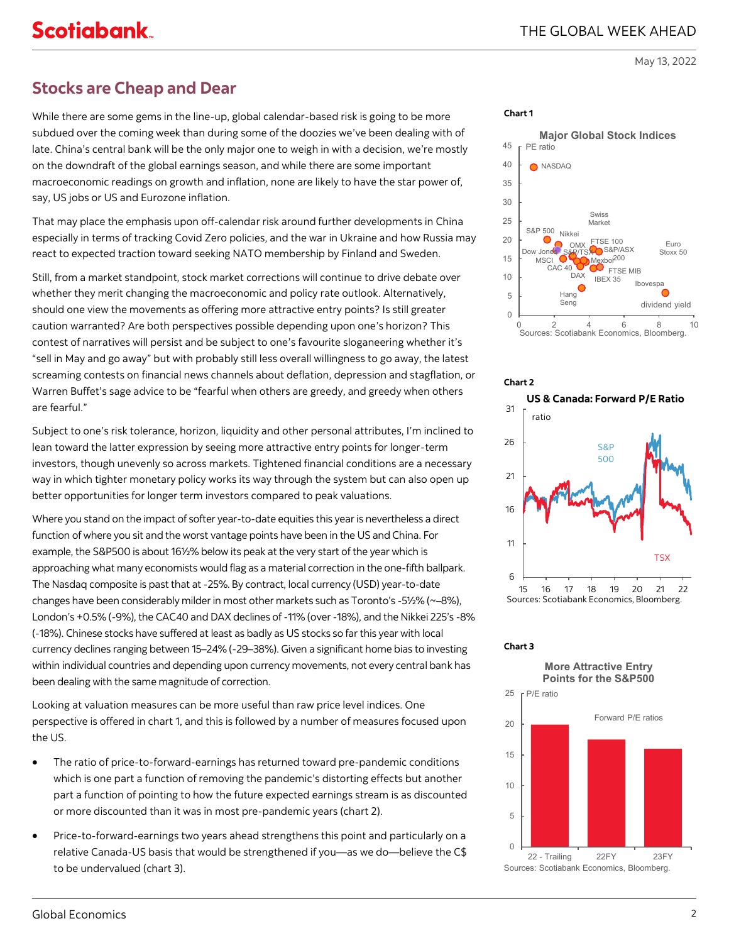# <span id="page-1-0"></span>**Stocks are Cheap and Dear**

While there are some gems in the line-up, global calendar-based risk is going to be more subdued over the coming week than during some of the doozies we've been dealing with of late. China's central bank will be the only major one to weigh in with a decision, we're mostly on the downdraft of the global earnings season, and while there are some important macroeconomic readings on growth and inflation, none are likely to have the star power of, say, US jobs or US and Eurozone inflation.

That may place the emphasis upon off-calendar risk around further developments in China especially in terms of tracking Covid Zero policies, and the war in Ukraine and how Russia may react to expected traction toward seeking NATO membership by Finland and Sweden.

Still, from a market standpoint, stock market corrections will continue to drive debate over whether they merit changing the macroeconomic and policy rate outlook. Alternatively, should one view the movements as offering more attractive entry points? Is still greater caution warranted? Are both perspectives possible depending upon one's horizon? This contest of narratives will persist and be subject to one's favourite sloganeering whether it's "sell in May and go away" but with probably still less overall willingness to go away, the latest screaming contests on financial news channels about deflation, depression and stagflation, or Warren Buffet's sage advice to be "fearful when others are greedy, and greedy when others are fearful."

Subject to one's risk tolerance, horizon, liquidity and other personal attributes, I'm inclined to lean toward the latter expression by seeing more attractive entry points for longer-term investors, though unevenly so across markets. Tightened financial conditions are a necessary way in which tighter monetary policy works its way through the system but can also open up better opportunities for longer term investors compared to peak valuations.

Where you stand on the impact of softer year-to-date equities this year is nevertheless a direct function of where you sit and the worst vantage points have been in the US and China. For example, the S&P500 is about 16½% below its peak at the very start of the year which is approaching what many economists would flag as a material correction in the one-fifth ballpark. The Nasdaq composite is past that at -25%. By contract, local currency (USD) year-to-date changes have been considerably milder in most other markets such as Toronto's -5½% (~–8%), London's +0.5% (-9%), the CAC40 and DAX declines of -11% (over -18%), and the Nikkei 225's -8% (-18%). Chinese stocks have suffered at least as badly as US stocks so far this year with local currency declines ranging between 15–24% (-29–38%). Given a significant home bias to investing within individual countries and depending upon currency movements, not every central bank has been dealing with the same magnitude of correction.

Looking at valuation measures can be more useful than raw price level indices. One perspective is offered in chart 1, and this is followed by a number of measures focused upon the US.

- The ratio of price-to-forward-earnings has returned toward pre-pandemic conditions which is one part a function of removing the pandemic's distorting effects but another part a function of pointing to how the future expected earnings stream is as discounted or more discounted than it was in most pre-pandemic years (chart 2).
- Price-to-forward-earnings two years ahead strengthens this point and particularly on a relative Canada-US basis that would be strengthened if you—as we do—believe the C\$ to be undervalued (chart 3).





#### **Chart 3**

 $\theta$ 5 10 15 20 25 22 - Trailing 22FY 23FY **More Attractive Entry Points for the S&P500** P/E ratio Forward P/E ratios

Sources: Scotiabank Economics, Bloomberg.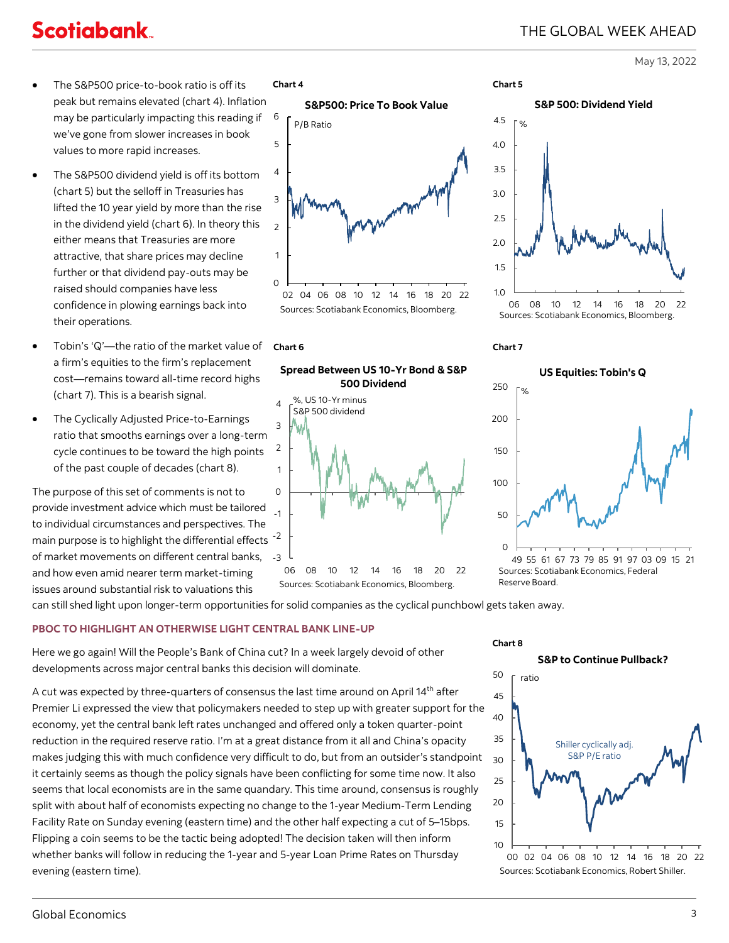<span id="page-2-0"></span>**Scotiabank** 

May 13, 2022

- The S&P500 price-to-book ratio is off its peak but remains elevated (chart 4). Inflation may be particularly impacting this reading if we've gone from slower increases in book values to more rapid increases.
- The S&P500 dividend yield is off its bottom (chart 5) but the selloff in Treasuries has lifted the 10 year yield by more than the rise in the dividend yield (chart 6). In theory this either means that Treasuries are more attractive, that share prices may decline further or that dividend pay-outs may be raised should companies have less confidence in plowing earnings back into their operations.
- Tobin's 'Q'—the ratio of the market value of a firm's equities to the firm's replacement cost—remains toward all-time record highs (chart 7). This is a bearish signal.
- The Cyclically Adjusted Price-to-Earnings ratio that smooths earnings over a long-term cycle continues to be toward the high points of the past couple of decades (chart 8).

The purpose of this set of comments is not to provide investment advice which must be tailored to individual circumstances and perspectives. The main purpose is to highlight the differential effects  $^{-2}$ of market movements on different central banks, -3 and how even amid nearer term market-timing issues around substantial risk to valuations this

### **Chart 4 Chart 5**



**S&P500: Price To Book Value**

## **Chart 6**

# **Spread Between US 10-Yr Bond & S&P 500 Dividend**





### **Chart 7**



can still shed light upon longer-term opportunities for solid companies as the cyclical punchbowl gets taken away.

## **PBOC TO HIGHLIGHT AN OTHERWISE LIGHT CENTRAL BANK LINE-UP**

Here we go again! Will the People's Bank of China cut? In a week largely devoid of other developments across major central banks this decision will dominate.

A cut was expected by three-quarters of consensus the last time around on April 14<sup>th</sup> after Premier Li expressed the view that policymakers needed to step up with greater support for the economy, yet the central bank left rates unchanged and offered only a token quarter-point reduction in the required reserve ratio. I'm at a great distance from it all and China's opacity makes judging this with much confidence very difficult to do, but from an outsider's standpoint it certainly seems as though the policy signals have been conflicting for some time now. It also seems that local economists are in the same quandary. This time around, consensus is roughly split with about half of economists expecting no change to the 1-year Medium-Term Lending Facility Rate on Sunday evening (eastern time) and the other half expecting a cut of 5–15bps. Flipping a coin seems to be the tactic being adopted! The decision taken will then inform whether banks will follow in reducing the 1-year and 5-year Loan Prime Rates on Thursday evening (eastern time).

## **Chart 8**

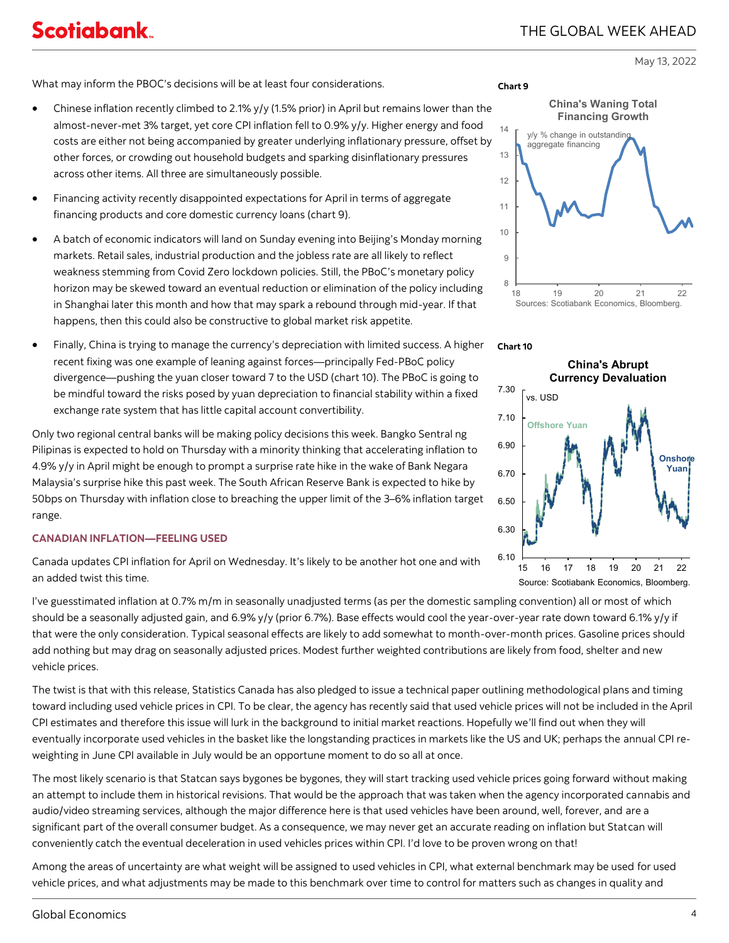<span id="page-3-0"></span>What may inform the PBOC's decisions will be at least four considerations.

- Chinese inflation recently climbed to 2.1% y/y (1.5% prior) in April but remains lower than the almost-never-met 3% target, yet core CPI inflation fell to 0.9% y/y. Higher energy and food costs are either not being accompanied by greater underlying inflationary pressure, offset by other forces, or crowding out household budgets and sparking disinflationary pressures across other items. All three are simultaneously possible.
- Financing activity recently disappointed expectations for April in terms of aggregate financing products and core domestic currency loans (chart 9).
- A batch of economic indicators will land on Sunday evening into Beijing's Monday morning markets. Retail sales, industrial production and the jobless rate are all likely to reflect weakness stemming from Covid Zero lockdown policies. Still, the PBoC's monetary policy horizon may be skewed toward an eventual reduction or elimination of the policy including in Shanghai later this month and how that may spark a rebound through mid-year. If that happens, then this could also be constructive to global market risk appetite.
- Finally, China is trying to manage the currency's depreciation with limited success. A higher recent fixing was one example of leaning against forces—principally Fed-PBoC policy divergence—pushing the yuan closer toward 7 to the USD (chart 10). The PBoC is going to be mindful toward the risks posed by yuan depreciation to financial stability within a fixed exchange rate system that has little capital account convertibility.

Only two regional central banks will be making policy decisions this week. Bangko Sentral ng Pilipinas is expected to hold on Thursday with a minority thinking that accelerating inflation to 4.9% y/y in April might be enough to prompt a surprise rate hike in the wake of Bank Negara Malaysia's surprise hike this past week. The South African Reserve Bank is expected to hike by 50bps on Thursday with inflation close to breaching the upper limit of the 3–6% inflation target range.

### **CANADIAN INFLATION—FEELING USED**

Canada updates CPI inflation for April on Wednesday. It's likely to be another hot one and with an added twist this time.

I've guesstimated inflation at 0.7% m/m in seasonally unadjusted terms (as per the domestic sampling convention) all or most of which should be a seasonally adjusted gain, and 6.9% y/y (prior 6.7%). Base effects would cool the year-over-year rate down toward 6.1% y/y if that were the only consideration. Typical seasonal effects are likely to add somewhat to month-over-month prices. Gasoline prices should add nothing but may drag on seasonally adjusted prices. Modest further weighted contributions are likely from food, shelter and new vehicle prices.

The twist is that with this release, Statistics Canada has also pledged to issue a technical paper outlining methodological plans and timing toward including used vehicle prices in CPI. To be clear, the agency has recently said that used vehicle prices will not be included in the April CPI estimates and therefore this issue will lurk in the background to initial market reactions. Hopefully we'll find out when they will eventually incorporate used vehicles in the basket like the longstanding practices in markets like the US and UK; perhaps the annual CPI reweighting in June CPI available in July would be an opportune moment to do so all at once.

The most likely scenario is that Statcan says bygones be bygones, they will start tracking used vehicle prices going forward without making an attempt to include them in historical revisions. That would be the approach that was taken when the agency incorporated cannabis and audio/video streaming services, although the major difference here is that used vehicles have been around, well, forever, and are a significant part of the overall consumer budget. As a consequence, we may never get an accurate reading on inflation but Statcan will conveniently catch the eventual deceleration in used vehicles prices within CPI. I'd love to be proven wrong on that!

Among the areas of uncertainty are what weight will be assigned to used vehicles in CPI, what external benchmark may be used for used vehicle prices, and what adjustments may be made to this benchmark over time to control for matters such as changes in quality and

# **Chart 9**



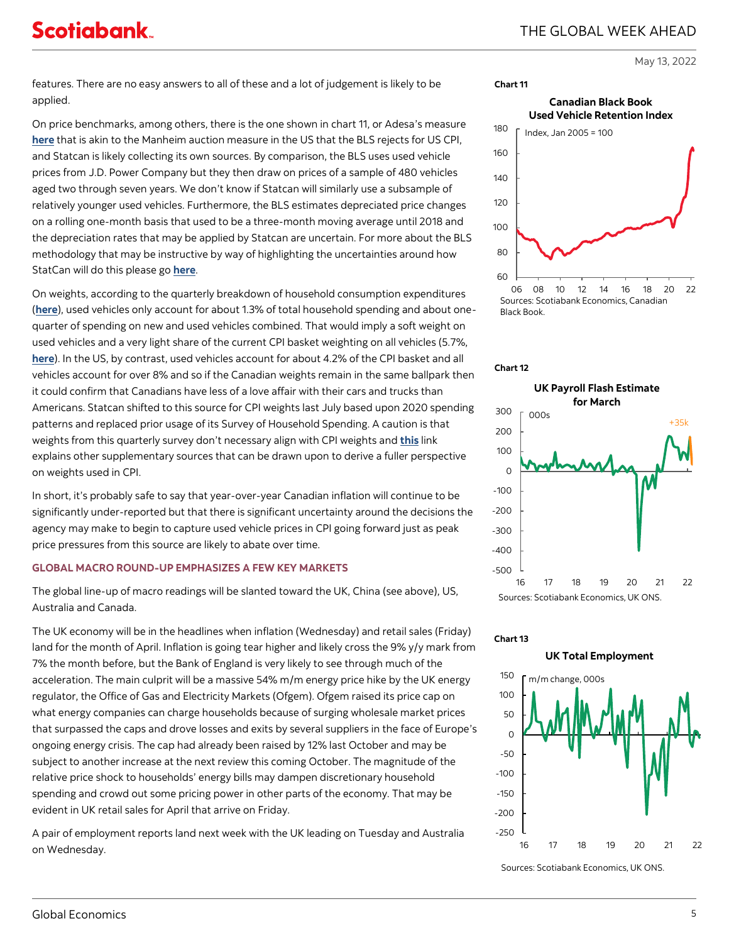<span id="page-4-0"></span>features. There are no easy answers to all of these and a lot of judgement is likely to be applied.

On price benchmarks, among others, there is the one shown in chart 11, or Adesa's measure **[here](https://www.adesa.ca/price-index/)** that is akin to the Manheim auction measure in the US that the BLS rejects for US CPI, and Statcan is likely collecting its own sources. By comparison, the BLS uses used vehicle prices from J.D. Power Company but they then draw on prices of a sample of 480 vehicles aged two through seven years. We don't know if Statcan will similarly use a subsample of relatively younger used vehicles. Furthermore, the BLS estimates depreciated price changes on a rolling one-month basis that used to be a three-month moving average until 2018 and the depreciation rates that may be applied by Statcan are uncertain. For more about the BLS methodology that may be instructive by way of highlighting the uncertainties around how StatCan will do this please go **[here](https://www.bls.gov/cpi/factsheets/used-cars-and-trucks.htm)**.

On weights, according to the quarterly breakdown of household consumption expenditures (**[here](https://www150.statcan.gc.ca/t1/tbl1/en/cv.action?pid=3610012401)**), used vehicles only account for about 1.3% of total household spending and about onequarter of spending on new and used vehicles combined. That would imply a soft weight on used vehicles and a very light share of the current CPI basket weighting on all vehicles (5.7%, **[here](https://www150.statcan.gc.ca/t1/tbl1/en/cv.action?pid=1810026401)**). In the US, by contrast, used vehicles account for about 4.2% of the CPI basket and all vehicles account for over 8% and so if the Canadian weights remain in the same ballpark then it could confirm that Canadians have less of a love affair with their cars and trucks than Americans. Statcan shifted to this source for CPI weights last July based upon 2020 spending patterns and replaced prior usage of its Survey of Household Spending. A caution is that weights from this quarterly survey don't necessary align with CPI weights and **[this](https://www150.statcan.gc.ca/n1/pub/62f0014m/62f0014m2021011-eng.htm)** link explains other supplementary sources that can be drawn upon to derive a fuller perspective on weights used in CPI.

In short, it's probably safe to say that year-over-year Canadian inflation will continue to be significantly under-reported but that there is significant uncertainty around the decisions the agency may make to begin to capture used vehicle prices in CPI going forward just as peak price pressures from this source are likely to abate over time.

#### **GLOBAL MACRO ROUND-UP EMPHASIZES A FEW KEY MARKETS**

The global line-up of macro readings will be slanted toward the UK, China (see above), US, Australia and Canada.

The UK economy will be in the headlines when inflation (Wednesday) and retail sales (Friday) land for the month of April. Inflation is going tear higher and likely cross the 9% y/y mark from 7% the month before, but the Bank of England is very likely to see through much of the acceleration. The main culprit will be a massive 54% m/m energy price hike by the UK energy regulator, the Office of Gas and Electricity Markets (Ofgem). Ofgem raised its price cap on what energy companies can charge households because of surging wholesale market prices that surpassed the caps and drove losses and exits by several suppliers in the face of Europe's ongoing energy crisis. The cap had already been raised by 12% last October and may be subject to another increase at the next review this coming October. The magnitude of the relative price shock to households' energy bills may dampen discretionary household spending and crowd out some pricing power in other parts of the economy. That may be evident in UK retail sales for April that arrive on Friday.

A pair of employment reports land next week with the UK leading on Tuesday and Australia on Wednesday.





#### **Chart 12**





#### **UK Total Employment**



Sources: Scotiabank Economics, UK ONS.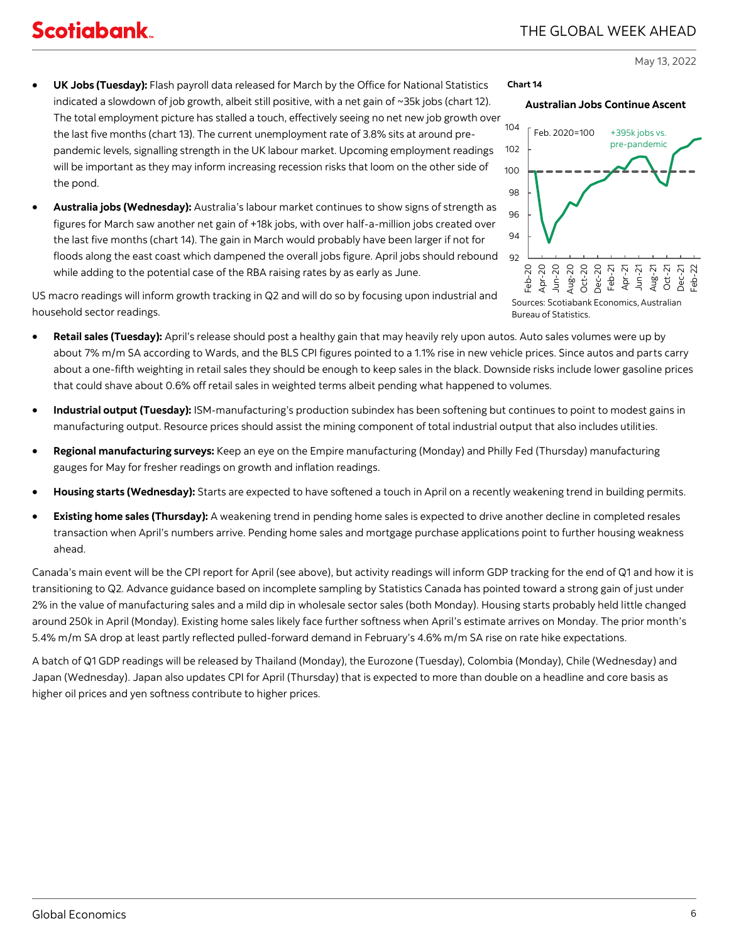**Scotiabank** 

# THE GLOBAL WEEK AHEAD

# May 13, 2022

- **UK Jobs (Tuesday):** Flash payroll data released for March by the Office for National Statistics indicated a slowdown of job growth, albeit still positive, with a net gain of ~35k jobs (chart 12). The total employment picture has stalled a touch, effectively seeing no net new job growth over the last five months (chart 13). The current unemployment rate of 3.8% sits at around prepandemic levels, signalling strength in the UK labour market. Upcoming employment readings will be important as they may inform increasing recession risks that loom on the other side of the pond. **Chart 14**
- **Australia jobs (Wednesday):** Australia's labour market continues to show signs of strength as figures for March saw another net gain of +18k jobs, with over half-a-million jobs created over the last five months (chart 14). The gain in March would probably have been larger if not for floods along the east coast which dampened the overall jobs figure. April jobs should rebound while adding to the potential case of the RBA raising rates by as early as June.

US macro readings will inform growth tracking in Q2 and will do so by focusing upon industrial and household sector readings.

- **Retail sales (Tuesday):** April's release should post a healthy gain that may heavily rely upon autos. Auto sales volumes were up by about 7% m/m SA according to Wards, and the BLS CPI figures pointed to a 1.1% rise in new vehicle prices. Since autos and parts carry about a one-fifth weighting in retail sales they should be enough to keep sales in the black. Downside risks include lower gasoline prices that could shave about 0.6% off retail sales in weighted terms albeit pending what happened to volumes.
- **Industrial output (Tuesday):** ISM-manufacturing's production subindex has been softening but continues to point to modest gains in manufacturing output. Resource prices should assist the mining component of total industrial output that also includes utilities.
- **Regional manufacturing surveys:** Keep an eye on the Empire manufacturing (Monday) and Philly Fed (Thursday) manufacturing gauges for May for fresher readings on growth and inflation readings.
- **Housing starts (Wednesday):** Starts are expected to have softened a touch in April on a recently weakening trend in building permits.
- **Existing home sales (Thursday):** A weakening trend in pending home sales is expected to drive another decline in completed resales transaction when April's numbers arrive. Pending home sales and mortgage purchase applications point to further housing weakness ahead.

Canada's main event will be the CPI report for April (see above), but activity readings will inform GDP tracking for the end of Q1 and how it is transitioning to Q2. Advance guidance based on incomplete sampling by Statistics Canada has pointed toward a strong gain of just under 2% in the value of manufacturing sales and a mild dip in wholesale sector sales (both Monday). Housing starts probably held little changed around 250k in April (Monday). Existing home sales likely face further softness when April's estimate arrives on Monday. The prior month's 5.4% m/m SA drop at least partly reflected pulled-forward demand in February's 4.6% m/m SA rise on rate hike expectations.

A batch of Q1 GDP readings will be released by Thailand (Monday), the Eurozone (Tuesday), Colombia (Monday), Chile (Wednesday) and Japan (Wednesday). Japan also updates CPI for April (Thursday) that is expected to more than double on a headline and core basis as higher oil prices and yen softness contribute to higher prices.



Bureau of Statistics.

**Australian Jobs Continue Ascent**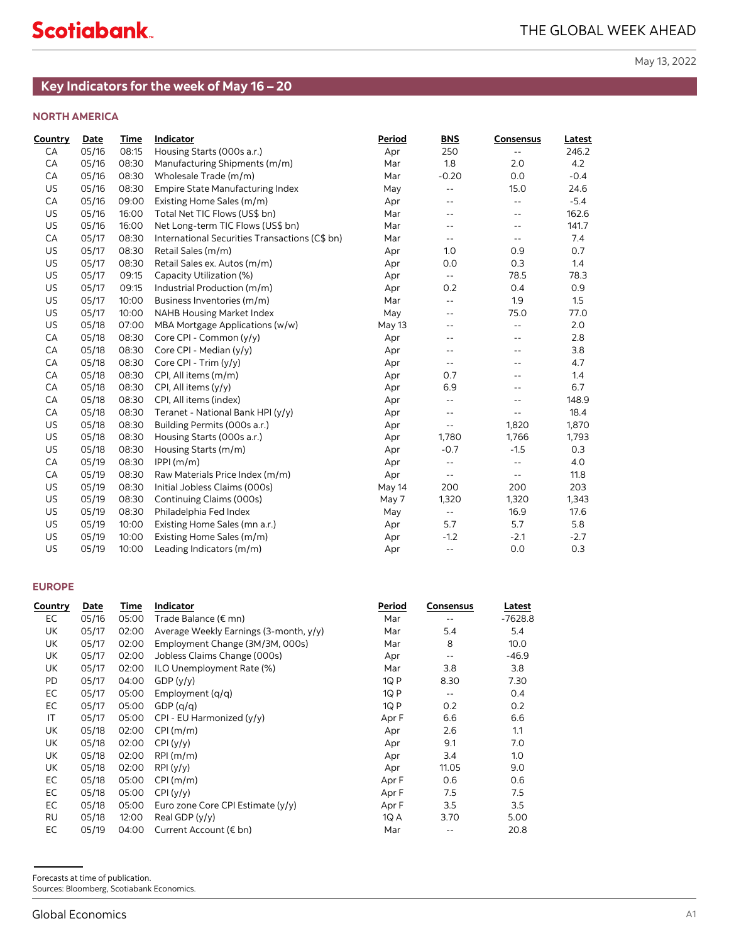# <span id="page-6-0"></span>**Key Indicators for the week of May 16 – 20**

# **NORTH AMERICA**

| <b>Country</b> | <b>Date</b> | Time  | Indicator                                      | Period | <b>BNS</b>                                    | <b>Consensus</b>           | Latest |
|----------------|-------------|-------|------------------------------------------------|--------|-----------------------------------------------|----------------------------|--------|
| CA             | 05/16       | 08:15 | Housing Starts (000s a.r.)                     | Apr    | 250                                           | $- -$                      | 246.2  |
| CA             | 05/16       | 08:30 | Manufacturing Shipments (m/m)                  | Mar    | 1.8                                           | 2.0                        | 4.2    |
| CA             | 05/16       | 08:30 | Wholesale Trade (m/m)                          | Mar    | $-0.20$                                       | 0.0                        | $-0.4$ |
| US             | 05/16       | 08:30 | Empire State Manufacturing Index               | May    | $\overline{\phantom{a}}$                      | 15.0                       | 24.6   |
| CA             | 05/16       | 09:00 | Existing Home Sales (m/m)                      | Apr    | $-$                                           | $\sim$ $\sim$              | $-5.4$ |
| US             | 05/16       | 16:00 | Total Net TIC Flows (US\$ bn)                  | Mar    | $\overline{\phantom{a}}$ .                    | $-1$                       | 162.6  |
| US             | 05/16       | 16:00 | Net Long-term TIC Flows (US\$ bn)              | Mar    | $\overline{\phantom{a}}$ .                    | $-1$                       | 141.7  |
| CA             | 05/17       | 08:30 | International Securities Transactions (C\$ bn) | Mar    | $\sim$ $\sim$                                 | $\sim$ $-$                 | 7.4    |
| US             | 05/17       | 08:30 | Retail Sales (m/m)                             | Apr    | 1.0                                           | 0.9                        | 0.7    |
| US             | 05/17       | 08:30 | Retail Sales ex. Autos (m/m)                   | Apr    | 0.0                                           | 0.3                        | 1.4    |
| US             | 05/17       | 09:15 | Capacity Utilization (%)                       | Apr    | $\overline{\phantom{a}}$                      | 78.5                       | 78.3   |
| US             | 05/17       | 09:15 | Industrial Production (m/m)                    | Apr    | 0.2                                           | 0.4                        | 0.9    |
| US             | 05/17       | 10:00 | Business Inventories (m/m)                     | Mar    | $- -$                                         | 1.9                        | 1.5    |
| US             | 05/17       | 10:00 | NAHB Housing Market Index                      | May    | ۰-                                            | 75.0                       | 77.0   |
| US             | 05/18       | 07:00 | MBA Mortgage Applications (w/w)                | May 13 | $\overline{\phantom{a}}$ .                    | $\sim$ $-$                 | 2.0    |
| CA             | 05/18       | 08:30 | Core CPI - Common (y/y)                        | Apr    | $\sim$ $\sim$                                 | $\overline{\phantom{a}}$ . | 2.8    |
| CA             | 05/18       | 08:30 | Core CPI - Median (y/y)                        | Apr    | $- -$                                         | $-$                        | 3.8    |
| CA             | 05/18       | 08:30 | Core CPI - Trim (y/y)                          | Apr    | $-1$                                          | $-$                        | 4.7    |
| CA             | 05/18       | 08:30 | CPI, All items (m/m)                           | Apr    | 0.7                                           | $\equiv$ $\equiv$          | 1.4    |
| CA             | 05/18       | 08:30 | CPI, All items (y/y)                           | Apr    | 6.9                                           | $-$                        | 6.7    |
| CA             | 05/18       | 08:30 | CPI, All items (index)                         | Apr    | $-1$                                          |                            | 148.9  |
| CA             | 05/18       | 08:30 | Teranet - National Bank HPI (y/y)              | Apr    | $\overline{\phantom{a}}$ .                    | $-1$                       | 18.4   |
| US             | 05/18       | 08:30 | Building Permits (000s a.r.)                   | Apr    | $-1$                                          | 1,820                      | 1,870  |
| <b>US</b>      | 05/18       | 08:30 | Housing Starts (000s a.r.)                     | Apr    | 1,780                                         | 1,766                      | 1,793  |
| US             | 05/18       | 08:30 | Housing Starts (m/m)                           | Apr    | $-0.7$                                        | $-1.5$                     | 0.3    |
| CA             | 05/19       | 08:30 | IPPI(m/m)                                      | Apr    | $\overline{\phantom{m}}$                      | $\sim$ $\sim$              | 4.0    |
| CA             | 05/19       | 08:30 | Raw Materials Price Index (m/m)                | Apr    | $\overline{\phantom{m}}$                      | $\sim$ $-$                 | 11.8   |
| US             | 05/19       | 08:30 | Initial Jobless Claims (000s)                  | May 14 | 200                                           | 200                        | 203    |
| US             | 05/19       | 08:30 | Continuing Claims (000s)                       | May 7  | 1,320                                         | 1,320                      | 1,343  |
| US             | 05/19       | 08:30 | Philadelphia Fed Index                         | May    | $\mathord{\hspace{1pt}\text{--}\hspace{1pt}}$ | 16.9                       | 17.6   |
| US             | 05/19       | 10:00 | Existing Home Sales (mn a.r.)                  | Apr    | 5.7                                           | 5.7                        | 5.8    |
| US             | 05/19       | 10:00 | Existing Home Sales (m/m)                      | Apr    | $-1.2$                                        | $-2.1$                     | $-2.7$ |
| US             | 05/19       | 10:00 | Leading Indicators (m/m)                       | Apr    | $\overline{\phantom{a}}$                      | 0.0                        | 0.3    |
|                |             |       |                                                |        |                                               |                            |        |

### **EUROPE**

| Country   | Date  | Time  | <b>Indicator</b>                       | Period | <b>Consensus</b> | Latest  |
|-----------|-------|-------|----------------------------------------|--------|------------------|---------|
| EC        | 05/16 | 05:00 | Trade Balance (€ mn)                   | Mar    |                  | -7628.8 |
| UK        | 05/17 | 02:00 | Average Weekly Earnings (3-month, y/y) | Mar    | 5.4              | 5.4     |
| UK        | 05/17 | 02:00 | Employment Change (3M/3M, 000s)        | Mar    | 8                | 10.0    |
| UK        | 05/17 | 02:00 | Jobless Claims Change (000s)           | Apr    | --               | $-46.9$ |
| UK        | 05/17 | 02:00 | ILO Unemployment Rate (%)              | Mar    | 3.8              | 3.8     |
| PD        | 05/17 | 04:00 | GDP (v/v)                              | 1QP    | 8.30             | 7.30    |
| EC        | 05/17 | 05:00 | Employment $(a/a)$                     | 1QP    | --               | 0.4     |
| EC        | 05/17 | 05:00 | GDP(q/q)                               | 1QP    | 0.2              | 0.2     |
| IT        | 05/17 | 05:00 | CPI - EU Harmonized (y/y)              | Apr F  | 6.6              | 6.6     |
| UK        | 05/18 | 02:00 | CPI(m/m)                               | Apr    | 2.6              | 1.1     |
| UK        | 05/18 | 02:00 | CPI(y/y)                               | Apr    | 9.1              | 7.0     |
| UK        | 05/18 | 02:00 | RPI(m/m)                               | Apr    | 3.4              | 1.0     |
| UK        | 05/18 | 02:00 | RPI(y/y)                               | Apr    | 11.05            | 9.0     |
| EC        | 05/18 | 05:00 | CPI(m/m)                               | Apr F  | 0.6              | 0.6     |
| EC        | 05/18 | 05:00 | CPI(y/y)                               | Apr F  | 7.5              | 7.5     |
| EC        | 05/18 | 05:00 | Euro zone Core CPI Estimate (y/y)      | Apr F  | 3.5              | 3.5     |
| <b>RU</b> | 05/18 | 12:00 | Real GDP (y/y)                         | 1Q A   | 3.70             | 5.00    |
| EC        | 05/19 | 04:00 | Current Account (€ bn)                 | Mar    | --               | 20.8    |

Forecasts at time of publication.

Sources: Bloomberg, Scotiabank Economics.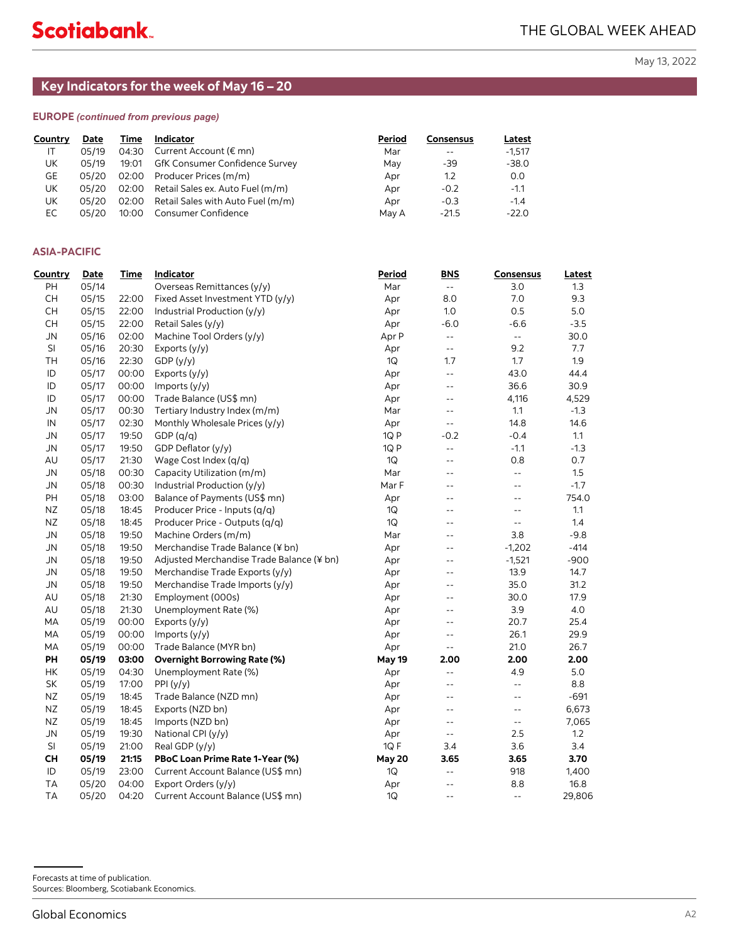# **Key Indicators for the week of May 16 – 20**

### **EUROPE** *(continued from previous page)*

| Country | Date  | Time  | <b>Indicator</b>                       | Period | Consensus | Latest   |
|---------|-------|-------|----------------------------------------|--------|-----------|----------|
| IT      | 05/19 | 04:30 | Current Account (€ mn)                 | Mar    | $-$       | $-1.517$ |
| UK      | 05/19 | 19:01 | GfK Consumer Confidence Survey         | May    | -39       | $-38.0$  |
| GE      | 05/20 | 02:00 | Producer Prices (m/m)                  | Apr    | 1.2       | 0.0      |
| UK      | 05/20 |       | 02:00 Retail Sales ex. Auto Fuel (m/m) | Apr    | $-0.2$    | $-1.1$   |
| UK      | 05/20 | 02:00 | Retail Sales with Auto Fuel (m/m)      | Apr    | $-0.3$    | $-1.4$   |
| EC      | 05/20 | 10:00 | Consumer Confidence                    | May A  | $-21.5$   | $-22.0$  |

#### **ASIA-PACIFIC**

| Country   | Date  | Time  | Indicator                                 | Period        | <b>BNS</b>                                    | Consensus                                     | Latest |
|-----------|-------|-------|-------------------------------------------|---------------|-----------------------------------------------|-----------------------------------------------|--------|
| PH        | 05/14 |       | Overseas Remittances (y/y)                | Mar           | $\omega_{\rm m}$                              | 3.0                                           | 1.3    |
| CH        | 05/15 | 22:00 | Fixed Asset Investment YTD (y/y)          | Apr           | 8.0                                           | 7.0                                           | 9.3    |
| CH        | 05/15 | 22:00 | Industrial Production (y/y)               | Apr           | 1.0                                           | 0.5                                           | 5.0    |
| <b>CH</b> | 05/15 | 22:00 | Retail Sales (y/y)                        | Apr           | $-6.0$                                        | $-6.6$                                        | $-3.5$ |
| <b>JN</b> | 05/16 | 02:00 | Machine Tool Orders (y/y)                 | Apr P         | $\omega$ .                                    | ω.                                            | 30.0   |
| SI        | 05/16 | 20:30 | Exports $(y/y)$                           | Apr           | $\mathord{\hspace{1pt}\text{--}\hspace{1pt}}$ | 9.2                                           | 7.7    |
| TH        | 05/16 | 22:30 | GDP (y/y)                                 | 1Q            | 1.7                                           | 1.7                                           | 1.9    |
| ID        | 05/17 | 00:00 | Exports (y/y)                             | Apr           | $\mathbb{L}^{\perp}$                          | 43.0                                          | 44.4   |
| ID        | 05/17 | 00:00 | Imports (y/y)                             | Apr           | $\sim$ $\sim$                                 | 36.6                                          | 30.9   |
| ID        | 05/17 | 00:00 | Trade Balance (US\$ mn)                   | Apr           | $\overline{\phantom{a}}$                      | 4,116                                         | 4,529  |
| <b>JN</b> | 05/17 | 00:30 | Tertiary Industry Index (m/m)             | Mar           | $\sim$ $\sim$                                 | 1.1                                           | $-1.3$ |
| IN        | 05/17 | 02:30 | Monthly Wholesale Prices (y/y)            | Apr           | $\overline{\phantom{a}}$                      | 14.8                                          | 14.6   |
| JN        | 05/17 | 19:50 | GDP(q/q)                                  | 1Q P          | $-0.2$                                        | $-0.4$                                        | 1.1    |
| <b>JN</b> | 05/17 | 19:50 | GDP Deflator (y/y)                        | 1Q P          | $\mathbb{L}^{\perp}$                          | $-1.1$                                        | $-1.3$ |
| AU        | 05/17 | 21:30 | Wage Cost Index (q/q)                     | 1Q            | $\sim$ $\sim$                                 | 0.8                                           | 0.7    |
| <b>JN</b> | 05/18 | 00:30 | Capacity Utilization (m/m)                | Mar           | $\sim$ $\sim$                                 | 44                                            | 1.5    |
| <b>JN</b> | 05/18 | 00:30 | Industrial Production (y/y)               | Mar F         | $ -$                                          | $-1$                                          | $-1.7$ |
| PH        | 05/18 | 03:00 | Balance of Payments (US\$ mn)             | Apr           | $\overline{\phantom{a}}$                      | ۵.                                            | 754.0  |
| NZ        | 05/18 | 18:45 | Producer Price - Inputs (q/q)             | 1Q            | $\overline{\phantom{a}}$                      | $- -$                                         | 1.1    |
| NZ        | 05/18 | 18:45 | Producer Price - Outputs (q/q)            | 1Q            | $\overline{\phantom{a}}$                      | $\mathord{\hspace{1pt}\text{--}\hspace{1pt}}$ | 1.4    |
| <b>JN</b> | 05/18 | 19:50 | Machine Orders (m/m)                      | Mar           | $\overline{a}$                                | 3.8                                           | $-9.8$ |
| <b>JN</b> | 05/18 | 19:50 | Merchandise Trade Balance (¥ bn)          | Apr           | $-$                                           | $-1,202$                                      | $-414$ |
| <b>JN</b> | 05/18 | 19:50 | Adjusted Merchandise Trade Balance (¥ bn) | Apr           | $\overline{\phantom{a}}$                      | $-1,521$                                      | $-900$ |
| <b>JN</b> | 05/18 | 19:50 | Merchandise Trade Exports (y/y)           | Apr           | $ -$                                          | 13.9                                          | 14.7   |
| <b>JN</b> | 05/18 | 19:50 | Merchandise Trade Imports (y/y)           | Apr           | $\overline{\phantom{a}}$                      | 35.0                                          | 31.2   |
| AU        | 05/18 | 21:30 | Employment (000s)                         | Apr           | $\sim$ $\sim$                                 | 30.0                                          | 17.9   |
| AU        | 05/18 | 21:30 | Unemployment Rate (%)                     | Apr           | $\sim$ $\sim$                                 | 3.9                                           | 4.0    |
| МA        | 05/19 | 00:00 | Exports (y/y)                             | Apr           | $\overline{\phantom{a}}$                      | 20.7                                          | 25.4   |
| МA        | 05/19 | 00:00 | Imports (y/y)                             | Apr           | $\overline{\phantom{a}}$                      | 26.1                                          | 29.9   |
| МA        | 05/19 | 00:00 | Trade Balance (MYR bn)                    | Apr           | $\mathord{\hspace{1pt}\text{--}\hspace{1pt}}$ | 21.0                                          | 26.7   |
| PH        | 05/19 | 03:00 | <b>Overnight Borrowing Rate (%)</b>       | <b>May 19</b> | 2.00                                          | 2.00                                          | 2.00   |
| HК        | 05/19 | 04:30 | Unemployment Rate (%)                     | Apr           | $\mathord{\hspace{1pt}\text{--}\hspace{1pt}}$ | 4.9                                           | 5.0    |
| <b>SK</b> | 05/19 | 17:00 | PPI(y/y)                                  | Apr           | $ -$                                          | $\perp$ $\perp$                               | 8.8    |
| NZ        | 05/19 | 18:45 | Trade Balance (NZD mn)                    | Apr           | $ -$                                          | $-1$                                          | $-691$ |
| NZ        | 05/19 | 18:45 | Exports (NZD bn)                          | Apr           | $\overline{\phantom{a}}$                      | $\mathbb{L} \mathbb{L}$                       | 6,673  |
| NZ        | 05/19 | 18:45 | Imports (NZD bn)                          | Apr           | $\sim$ $\sim$                                 | $\mathord{\hspace{1pt}\text{--}\hspace{1pt}}$ | 7,065  |
| <b>JN</b> | 05/19 | 19:30 | National CPI (y/y)                        | Apr           | $\sim$ $\sim$                                 | 2.5                                           | 1.2    |
| SI        | 05/19 | 21:00 | Real GDP (y/y)                            | 1QF           | 3.4                                           | 3.6                                           | 3.4    |
| <b>CH</b> | 05/19 | 21:15 | PBoC Loan Prime Rate 1-Year (%)           | <b>May 20</b> | 3.65                                          | 3.65                                          | 3.70   |
| ID        | 05/19 | 23:00 | Current Account Balance (US\$ mn)         | 1Q            | $\mathord{\hspace{1pt}\text{--}\hspace{1pt}}$ | 918                                           | 1,400  |
| <b>TA</b> | 05/20 | 04:00 | Export Orders (y/y)                       | Apr           | $-$                                           | 8.8                                           | 16.8   |
| ТA        | 05/20 | 04:20 | Current Account Balance (US\$ mn)         | 1Q            | $\sim$ $\sim$                                 | $\mathord{\hspace{1pt}\text{--}\hspace{1pt}}$ | 29,806 |

Forecasts at time of publication.

Sources: Bloomberg, Scotiabank Economics.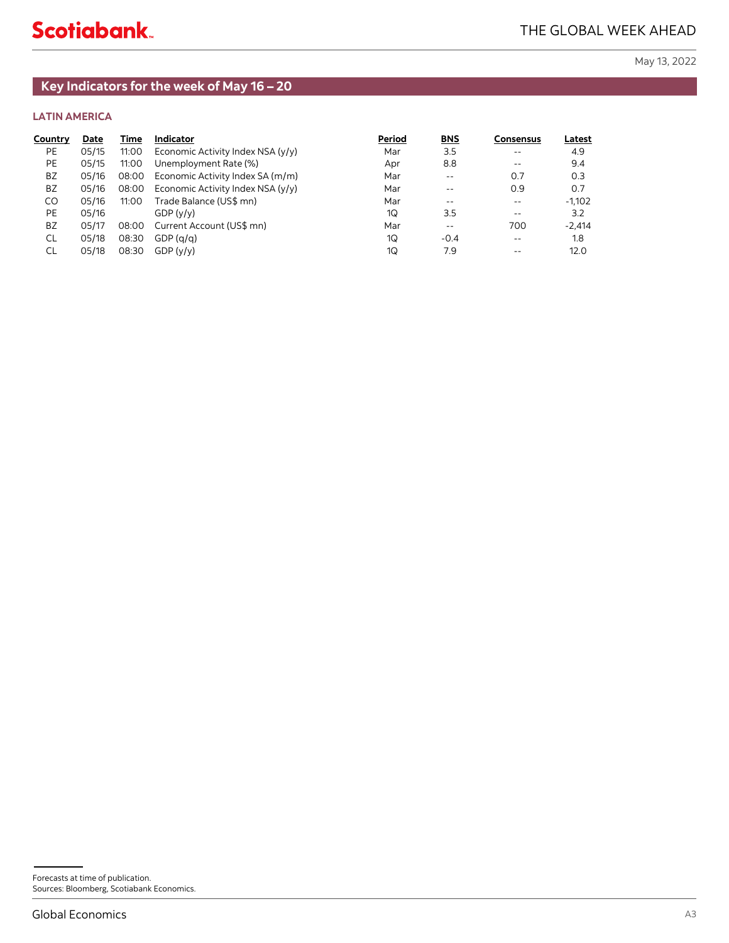# **Key Indicators for the week of May 16 – 20**

# **LATIN AMERICA**

| Date  | Time  | <b>Indicator</b>                  | Period | <b>BNS</b> | Consensus | Latest   |
|-------|-------|-----------------------------------|--------|------------|-----------|----------|
| 05/15 | 11:00 | Economic Activity Index NSA (y/y) | Mar    | 3.5        | $-$       | 4.9      |
| 05/15 | 11:00 | Unemployment Rate (%)             | Apr    | 8.8        | $- -$     | 9.4      |
| 05/16 | 08:00 | Economic Activity Index SA (m/m)  | Mar    | --         | 0.7       | 0.3      |
| 05/16 | 08:00 | Economic Activity Index NSA (y/y) | Mar    | $- -$      | 0.9       | 0.7      |
| 05/16 | 11:00 | Trade Balance (US\$ mn)           | Mar    | $- -$      | $ -$      | $-1,102$ |
| 05/16 |       | GDP (v/v)                         | 1Q     | 3.5        | $- -$     | 3.2      |
| 05/17 | 08:00 | Current Account (US\$ mn)         | Mar    | $ -$       | 700       | $-2.414$ |
| 05/18 | 08:30 | GDP(q/q)                          | 1Q     | $-0.4$     | $-$       | 1.8      |
| 05/18 | 08:30 | GDP(y/y)                          | 1Q     | 7.9        |           | 12.0     |
|       |       |                                   |        |            |           |          |

Forecasts at time of publication. Sources: Bloomberg, Scotiabank Economics.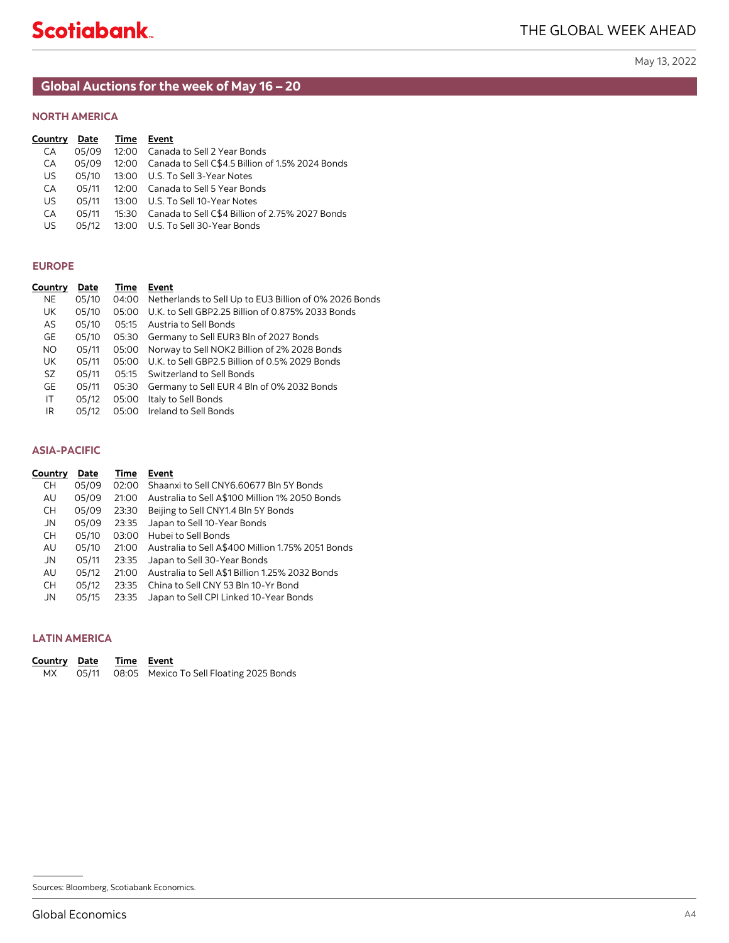# <span id="page-9-0"></span>**Global Auctions for the week of May 16 – 20**

# **NORTH AMERICA**

| Country | Date  | Time               | Event                                            |
|---------|-------|--------------------|--------------------------------------------------|
| СA      | 05/09 | 12.00              | Canada to Sell 2 Year Bonds                      |
| CA      | 05/09 | 12:00              | Canada to Sell C\$4.5 Billion of 1.5% 2024 Bonds |
| US      | 05/10 | 13:00              | U.S. To Sell 3-Year Notes                        |
| CA      | 05/11 | 12.00              | Canada to Sell 5 Year Bonds                      |
| US      | 05/11 | 13:00              | U.S. To Sell 10-Year Notes                       |
| CA      | 05/11 | 15:30              | Canada to Sell C\$4 Billion of 2.75% 2027 Bonds  |
| US      | 05/12 | 13 <sup>.</sup> 00 | U.S. To Sell 30-Year Bonds                       |
|         |       |                    |                                                  |

## **EUROPE**

| Date  | Time  | <b>Event</b>                                           |
|-------|-------|--------------------------------------------------------|
| 05/10 | 04:00 | Netherlands to Sell Up to EU3 Billion of 0% 2026 Bonds |
| 05/10 | 05:00 | U.K. to Sell GBP2.25 Billion of 0.875% 2033 Bonds      |
| 05/10 | 05:15 | Austria to Sell Bonds                                  |
| 05/10 | 05:30 | Germany to Sell EUR3 Bln of 2027 Bonds                 |
| 05/11 | 05:00 | Norway to Sell NOK2 Billion of 2% 2028 Bonds           |
| 05/11 | 05:00 | U.K. to Sell GBP2.5 Billion of 0.5% 2029 Bonds         |
| 05/11 | 05:15 | Switzerland to Sell Bonds                              |
| 05/11 | 05:30 | Germany to Sell EUR 4 Bln of 0% 2032 Bonds             |
| 05/12 | 05:00 | Italy to Sell Bonds                                    |
| 05/12 | 05:00 | Ireland to Sell Bonds                                  |
|       |       |                                                        |

#### **ASIA-PACIFIC**

| Country   | Date  | Time  | Event                                             |
|-----------|-------|-------|---------------------------------------------------|
| <b>CH</b> | 05/09 | 02:00 | Shaanxi to Sell CNY6.60677 Bln 5Y Bonds           |
| AU        | 05/09 | 21:00 | Australia to Sell A\$100 Million 1% 2050 Bonds    |
| СH        | 05/09 | 23:30 | Beijing to Sell CNY1.4 Bln 5Y Bonds               |
| .JN       | 05/09 | 23:35 | Japan to Sell 10-Year Bonds                       |
| <b>CH</b> | 05/10 | 03:00 | Hubei to Sell Bonds                               |
| AU        | 05/10 | 21:00 | Australia to Sell A\$400 Million 1.75% 2051 Bonds |
| .JN       | 05/11 | 23:35 | Japan to Sell 30-Year Bonds                       |
| AU        | 05/12 | 21:00 | Australia to Sell A\$1 Billion 1.25% 2032 Bonds   |
| CH.       | 05/12 | 23.35 | China to Sell CNY 53 Bln 10-Yr Bond               |
| .JN       | 05/15 | 23:35 | Japan to Sell CPI Linked 10-Year Bonds            |

## **LATIN AMERICA**

| <b>Country Date</b> | Time Event |                                                   |
|---------------------|------------|---------------------------------------------------|
|                     |            | MX 05/11 08:05 Mexico To Sell Floating 2025 Bonds |

Sources: Bloomberg, Scotiabank Economics.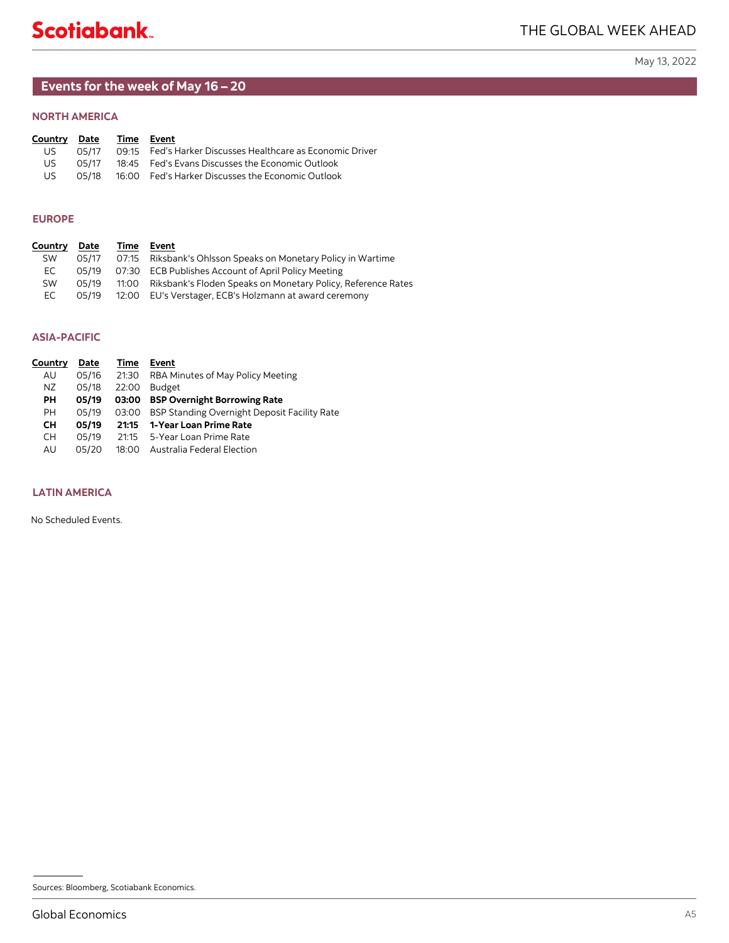# <span id="page-10-0"></span>**Events for the week of May 16 – 20**

## **NORTH AMERICA**

| Country Date |       | Time Event |                                                            |
|--------------|-------|------------|------------------------------------------------------------|
| US.          | 05/17 |            | 09:15 Fed's Harker Discusses Healthcare as Economic Driver |
| US.          |       |            | 05/17 18:45 Fed's Evans Discusses the Economic Outlook     |
| US.          |       |            | 05/18 16:00 Fed's Harker Discusses the Economic Outlook    |

# **EUROPE**

| Country | Date  | Time | Event                                                              |
|---------|-------|------|--------------------------------------------------------------------|
| SW      | 05/17 |      | 07:15 Riksbank's Ohlsson Speaks on Monetary Policy in Wartime      |
| EC.     |       |      | 05/19 07:30 ECB Publishes Account of April Policy Meeting          |
| SW      | 05/19 |      | 11:00 Riksbank's Floden Speaks on Monetary Policy, Reference Rates |
| EC.     | 05/19 |      | 12:00 EU's Verstager, ECB's Holzmann at award ceremony             |

## **ASIA-PACIFIC**

| Country   | Date  | Time  | Event                                        |
|-----------|-------|-------|----------------------------------------------|
| AU        | 05/16 | 21:30 | RBA Minutes of May Policy Meeting            |
| NZ.       | 05/18 | 22:00 | <b>Budget</b>                                |
| PН        | 05/19 | 03:00 | <b>BSP Overnight Borrowing Rate</b>          |
| <b>PH</b> | 05/19 | 03:00 | BSP Standing Overnight Deposit Facility Rate |
| CН        | 05/19 | 21:15 | 1-Year Loan Prime Rate                       |
| CН        | 05/19 | 21.15 | 5-Year Loan Prime Rate                       |
| AU        | 05/20 | 18:00 | Australia Federal Election                   |

# **LATIN AMERICA**

No Scheduled Events.

Sources: Bloomberg, Scotiabank Economics.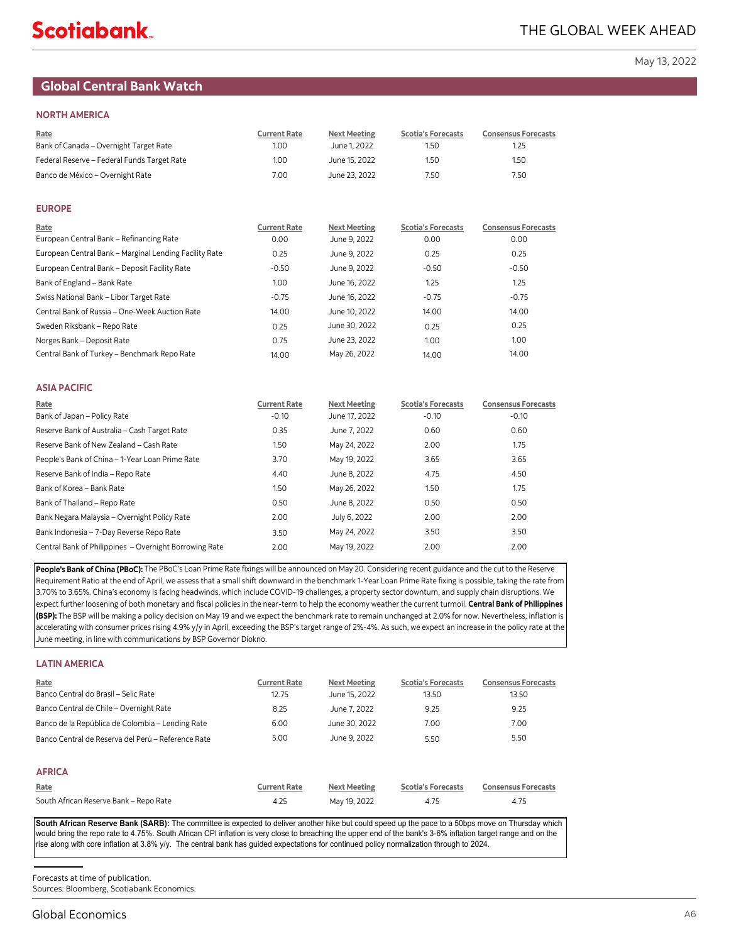# <span id="page-11-0"></span>**Global Central Bank Watch**

#### **NORTH AMERICA**

| Rate<br>Bank of Canada - Overnight Target Rate<br>Federal Reserve - Federal Funds Target Rate<br>Banco de México - Overnight Rate | <b>Current Rate</b><br>1.00<br>1.00<br>7.00 | <b>Next Meeting</b><br>June 1, 2022<br>June 15, 2022<br>June 23, 2022 | <b>Scotia's Forecasts</b><br>1.50<br>1.50<br>7.50 | <b>Consensus Forecasts</b><br>1.25<br>1.50<br>7.50 |
|-----------------------------------------------------------------------------------------------------------------------------------|---------------------------------------------|-----------------------------------------------------------------------|---------------------------------------------------|----------------------------------------------------|
| <b>EUROPE</b>                                                                                                                     |                                             |                                                                       |                                                   |                                                    |
| Rate<br>European Central Bank - Refinancing Rate                                                                                  | <b>Current Rate</b><br>0.00                 | <b>Next Meeting</b><br>June 9, 2022                                   | <b>Scotia's Forecasts</b><br>0.00                 | <b>Consensus Forecasts</b><br>0.00                 |
| European Central Bank - Marginal Lending Facility Rate                                                                            | 0.25                                        | June 9, 2022                                                          | 0.25                                              | 0.25                                               |
| European Central Bank - Deposit Facility Rate                                                                                     | $-0.50$                                     | June 9, 2022                                                          | $-0.50$                                           | $-0.50$                                            |
| Bank of England - Bank Rate                                                                                                       | 1.00                                        | June 16, 2022                                                         | 1.25                                              | 1.25                                               |
| Swiss National Bank - Libor Target Rate                                                                                           | $-0.75$                                     | June 16, 2022                                                         | $-0.75$                                           | $-0.75$                                            |
| Central Bank of Russia - One-Week Auction Rate                                                                                    | 14.00                                       | June 10, 2022                                                         | 14.00                                             | 14.00                                              |
| Sweden Riksbank - Repo Rate                                                                                                       | 0.25                                        | June 30, 2022                                                         | 0.25                                              | 0.25                                               |
| Norges Bank - Deposit Rate                                                                                                        | 0.75                                        | June 23, 2022                                                         | 1.00                                              | 1.00                                               |
| Central Bank of Turkey - Benchmark Repo Rate                                                                                      | 14.00                                       | May 26, 2022                                                          | 14.00                                             | 14.00                                              |
| <b>ASIA PACIFIC</b>                                                                                                               |                                             |                                                                       |                                                   |                                                    |
| Rate                                                                                                                              | <b>Current Rate</b>                         | <b>Next Meeting</b>                                                   | <b>Scotia's Forecasts</b>                         | <b>Consensus Forecasts</b>                         |

| <u>Rate</u>                                            | Current Rate | Next Meeting  | Scotia's Forecasts | Consensus Forecasts |
|--------------------------------------------------------|--------------|---------------|--------------------|---------------------|
| Bank of Japan – Policy Rate                            | $-0.10$      | June 17, 2022 | $-0.10$            | $-0.10$             |
| Reserve Bank of Australia - Cash Target Rate           | 0.35         | June 7, 2022  | 0.60               | 0.60                |
| Reserve Bank of New Zealand - Cash Rate                | 1.50         | May 24, 2022  | 2.00               | 1.75                |
| People's Bank of China - 1-Year Loan Prime Rate        | 3.70         | May 19, 2022  | 3.65               | 3.65                |
| Reserve Bank of India - Repo Rate                      | 4.40         | June 8, 2022  | 4.75               | 4.50                |
| Bank of Korea - Bank Rate                              | 1.50         | May 26, 2022  | 1.50               | 1.75                |
| Bank of Thailand - Repo Rate                           | 0.50         | June 8, 2022  | 0.50               | 0.50                |
| Bank Negara Malaysia - Overnight Policy Rate           | 2.00         | July 6, 2022  | 2.00               | 2.00                |
| Bank Indonesia - 7-Day Reverse Repo Rate               | 3.50         | May 24, 2022  | 3.50               | 3.50                |
| Central Bank of Philippines - Overnight Borrowing Rate | 2.00         | May 19, 2022  | 2.00               | 2.00                |
|                                                        |              |               |                    |                     |

People's Bank of China (PBoC): The PBoC's Loan Prime Rate fixings will be announced on May 20. Considering recent guidance and the cut to the Reserve Requirement Ratio at the end of April, we assess that a small shift downward in the benchmark 1-Year Loan Prime Rate fixing is possible, taking the rate from 3.70% to 3.65%. China's economy is facing headwinds, which include COVID-19 challenges, a property sector downturn, and supply chain disruptions. We expect further loosening of both monetary and fiscal policies in the near-term to help the economy weather the current turmoil. **Central Bank of Philippines (BSP):** The BSP will be making a policy decision on May 19 and we expect the benchmark rate to remain unchanged at 2.0% for now. Nevertheless, inflation is accelerating with consumer prices rising 4.9% y/y in April, exceeding the BSP's target range of 2%-4%. As such, we expect an increase in the policy rate at the June meeting, in line with communications by BSP Governor Diokno.

#### **LATIN AMERICA**

| Rate<br>Banco Central do Brasil – Selic Rate       | <b>Current Rate</b><br>12.75 | <b>Next Meeting</b><br>June 15, 2022 | <b>Scotia's Forecasts</b><br>13.50 | <b>Consensus Forecasts</b><br>13.50 |
|----------------------------------------------------|------------------------------|--------------------------------------|------------------------------------|-------------------------------------|
| Banco Central de Chile - Overnight Rate            | 8.25                         | June 7, 2022                         | 9.25                               | 9.25                                |
| Banco de la República de Colombia – Lending Rate   | 6.00                         | June 30, 2022                        | 7.00                               | 7.00                                |
| Banco Central de Reserva del Perú – Reference Rate | 5.00                         | June 9, 2022                         | 5.50                               | 5.50                                |
| <b>AFRICA</b>                                      |                              |                                      |                                    |                                     |
| Rate                                               | <b>Current Rate</b>          | <b>Next Meeting</b>                  | <b>Scotia's Forecasts</b>          | <b>Consensus Forecasts</b>          |
| South African Reserve Bank - Repo Rate             | 4.25                         | May 19, 2022                         | 4.75                               | 4.75                                |

**South African Reserve Bank (SARB):** The committee is expected to deliver another hike but could speed up the pace to a 50bps move on Thursday which would bring the repo rate to 4.75%. South African CPI inflation is very close to breaching the upper end of the bank's 3-6% inflation target range and on the rise along with core inflation at 3.8% y/y. The central bank has guided expectations for continued policy normalization through to 2024.

Forecasts at time of publication.

Sources: Bloomberg, Scotiabank Economics.